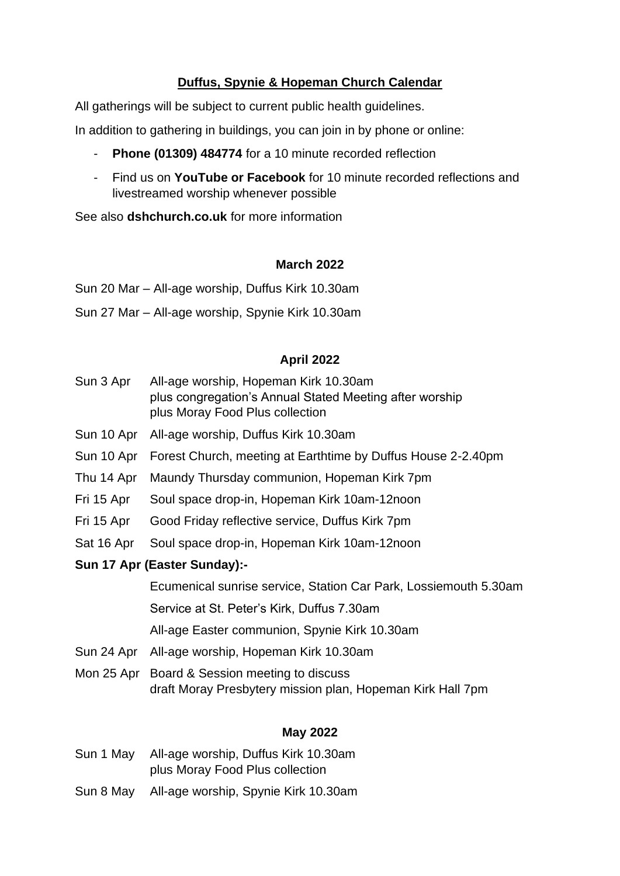# **Duffus, Spynie & Hopeman Church Calendar**

All gatherings will be subject to current public health guidelines.

In addition to gathering in buildings, you can join in by phone or online:

- **Phone (01309) 484774** for a 10 minute recorded reflection
- Find us on **YouTube or Facebook** for 10 minute recorded reflections and livestreamed worship whenever possible

See also **dshchurch.co.uk** for more information

## **March 2022**

Sun 20 Mar – All-age worship, Duffus Kirk 10.30am

Sun 27 Mar – All-age worship, Spynie Kirk 10.30am

## **April 2022**

- Sun 3 Apr All-age worship, Hopeman Kirk 10.30am plus congregation's Annual Stated Meeting after worship plus Moray Food Plus collection
- Sun 10 Apr All-age worship, Duffus Kirk 10.30am
- Sun 10 Apr Forest Church, meeting at Earthtime by Duffus House 2-2.40pm
- Thu 14 Apr Maundy Thursday communion, Hopeman Kirk 7pm
- Fri 15 Apr Soul space drop-in, Hopeman Kirk 10am-12noon
- Fri 15 Apr Good Friday reflective service, Duffus Kirk 7pm
- Sat 16 Apr Soul space drop-in, Hopeman Kirk 10am-12noon
- **Sun 17 Apr (Easter Sunday):-**

 Ecumenical sunrise service, Station Car Park, Lossiemouth 5.30am Service at St. Peter's Kirk, Duffus 7.30am All-age Easter communion, Spynie Kirk 10.30am

- Sun 24 Apr All-age worship, Hopeman Kirk 10.30am
- Mon 25 Apr Board & Session meeting to discuss draft Moray Presbytery mission plan, Hopeman Kirk Hall 7pm

## **May 2022**

- Sun 1 May All-age worship, Duffus Kirk 10.30am plus Moray Food Plus collection
- Sun 8 May All-age worship, Spynie Kirk 10.30am